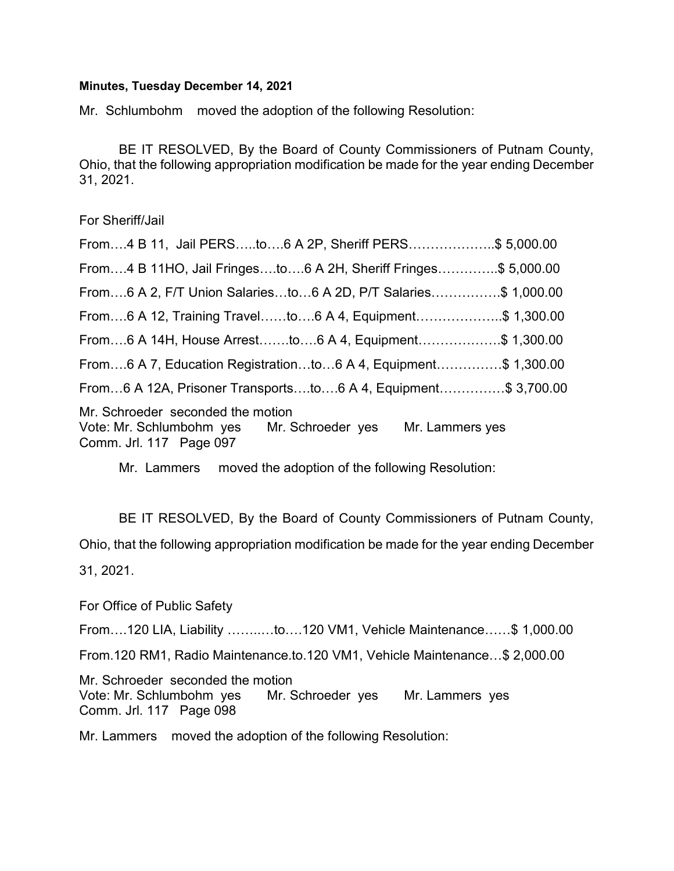## Minutes, Tuesday December 14, 2021

Mr. Schlumbohm moved the adoption of the following Resolution:

 BE IT RESOLVED, By the Board of County Commissioners of Putnam County, Ohio, that the following appropriation modification be made for the year ending December 31, 2021.

For Sheriff/Jail

| From4 B 11, Jail PERSto6 A 2P, Sheriff PERS\$ 5,000.00                                                                     |  |
|----------------------------------------------------------------------------------------------------------------------------|--|
| From4 B 11HO, Jail Fringesto6 A 2H, Sheriff Fringes\$ 5,000.00                                                             |  |
| From6 A 2, F/T Union Salariesto6 A 2D, P/T Salaries\$ 1,000.00                                                             |  |
| From6 A 12, Training Travelto6 A 4, Equipment\$ 1,300.00                                                                   |  |
| From6 A 14H, House Arrestto6 A 4, Equipment\$ 1,300.00                                                                     |  |
| From6 A 7, Education Registrationto6 A 4, Equipment\$ 1,300.00                                                             |  |
| From6 A 12A, Prisoner Transportsto6 A 4, Equipment\$ 3,700.00                                                              |  |
| Mr. Schroeder seconded the motion<br>Vote: Mr. Schlumbohm yes Mr. Schroeder yes Mr. Lammers yes<br>Comm. Jrl. 117 Page 097 |  |

Mr. Lammers moved the adoption of the following Resolution:

 BE IT RESOLVED, By the Board of County Commissioners of Putnam County, Ohio, that the following appropriation modification be made for the year ending December 31, 2021.

For Office of Public Safety

From….120 LIA, Liability ……..…to….120 VM1, Vehicle Maintenance……\$ 1,000.00

From.120 RM1, Radio Maintenance.to.120 VM1, Vehicle Maintenance…\$ 2,000.00

Mr. Schroeder seconded the motion Vote: Mr. Schlumbohm yes Mr. Schroeder yes Mr. Lammers yes Comm. Jrl. 117 Page 098

Mr. Lammers moved the adoption of the following Resolution: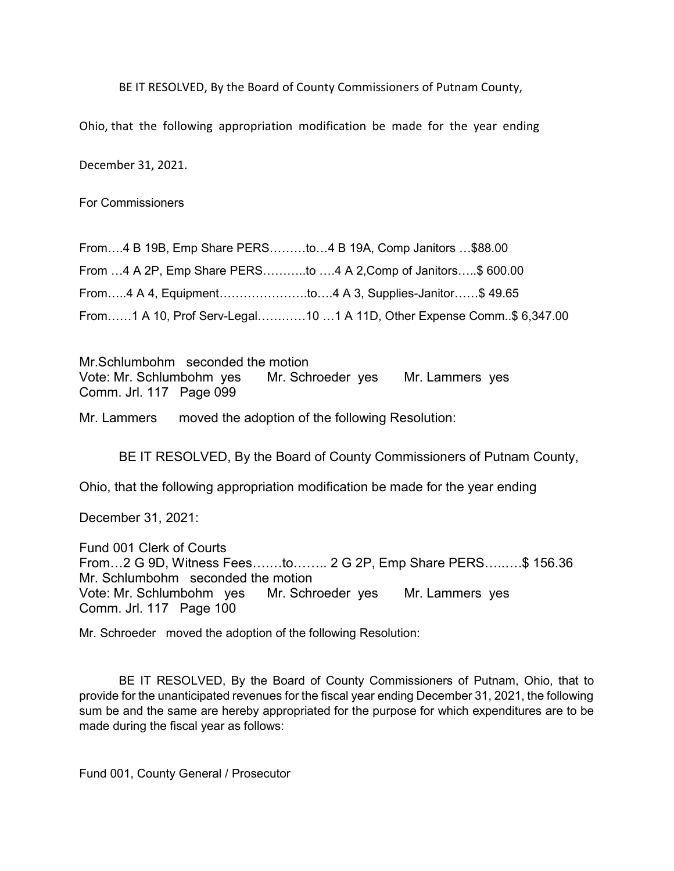BE IT RESOLVED, By the Board of County Commissioners of Putnam County,

Ohio, that the following appropriation modification be made for the year ending

December 31, 2021.

For Commissioners

From….4 B 19B, Emp Share PERS………to…4 B 19A, Comp Janitors …\$88.00 From …4 A 2P, Emp Share PERS………..to ….4 A 2,Comp of Janitors…..\$ 600.00 From…..4 A 4, Equipment………………….to….4 A 3, Supplies-Janitor……\$ 49.65 From……1 A 10, Prof Serv-Legal…………10 …1 A 11D, Other Expense Comm..\$ 6,347.00

Mr.Schlumbohm seconded the motion Vote: Mr. Schlumbohm yes Mr. Schroeder yes Mr. Lammers yes Comm. Jrl. 117 Page 099

Mr. Lammers moved the adoption of the following Resolution:

BE IT RESOLVED, By the Board of County Commissioners of Putnam County,

Ohio, that the following appropriation modification be made for the year ending

December 31, 2021:

Fund 001 Clerk of Courts From…2 G 9D, Witness Fees….…to…….. 2 G 2P, Emp Share PERS…..….\$ 156.36 Mr. Schlumbohm seconded the motion Vote: Mr. Schlumbohm yes Mr. Schroeder yes Mr. Lammers yes Comm. Jrl. 117 Page 100

Mr. Schroeder moved the adoption of the following Resolution:

 BE IT RESOLVED, By the Board of County Commissioners of Putnam, Ohio, that to provide for the unanticipated revenues for the fiscal year ending December 31, 2021, the following sum be and the same are hereby appropriated for the purpose for which expenditures are to be made during the fiscal year as follows:

Fund 001, County General / Prosecutor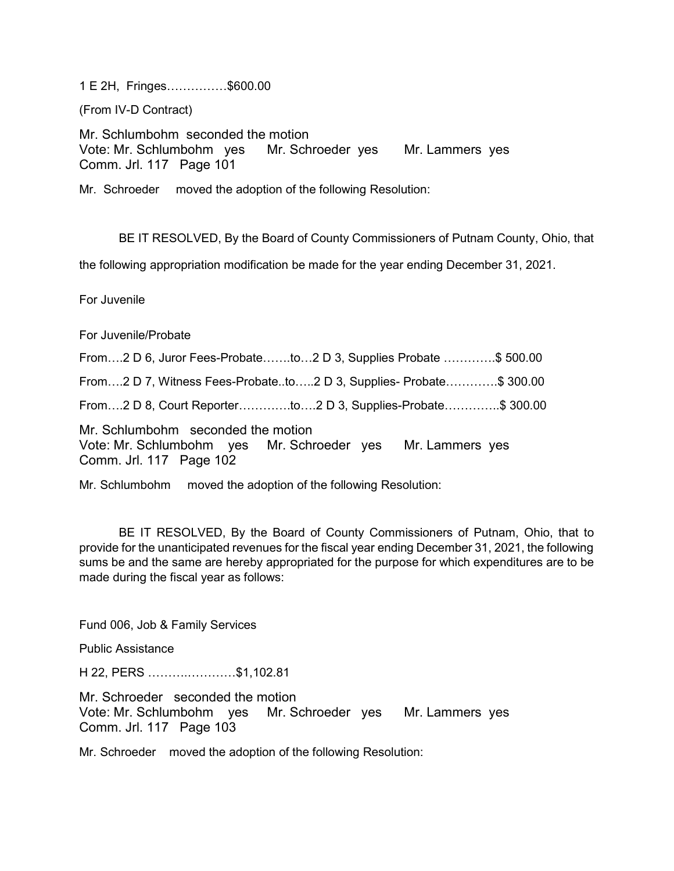1 E 2H, Fringes……………\$600.00

(From IV-D Contract)

Mr. Schlumbohm seconded the motion Vote: Mr. Schlumbohm yes Mr. Schroeder yes Mr. Lammers yes Comm. Jrl. 117 Page 101

Mr. Schroeder moved the adoption of the following Resolution:

BE IT RESOLVED, By the Board of County Commissioners of Putnam County, Ohio, that

the following appropriation modification be made for the year ending December 31, 2021.

For Juvenile

For Juvenile/Probate

From….2 D 6, Juror Fees-Probate…….to…2 D 3, Supplies Probate ………….\$ 500.00 From….2 D 7, Witness Fees-Probate..to…..2 D 3, Supplies- Probate………….\$ 300.00 From….2 D 8, Court Reporter………….to….2 D 3, Supplies-Probate…………..\$ 300.00 Mr. Schlumbohm seconded the motion Vote: Mr. Schlumbohm yes Mr. Schroeder yes Mr. Lammers yes Comm. Jrl. 117 Page 102

Mr. Schlumbohm moved the adoption of the following Resolution:

 BE IT RESOLVED, By the Board of County Commissioners of Putnam, Ohio, that to provide for the unanticipated revenues for the fiscal year ending December 31, 2021, the following sums be and the same are hereby appropriated for the purpose for which expenditures are to be made during the fiscal year as follows:

Fund 006, Job & Family Services

Public Assistance

H 22, PERS ……….…………\$1,102.81

Mr. Schroeder seconded the motion Vote: Mr. Schlumbohm yes Mr. Schroeder yes Mr. Lammers yes Comm. Jrl. 117 Page 103

Mr. Schroeder moved the adoption of the following Resolution: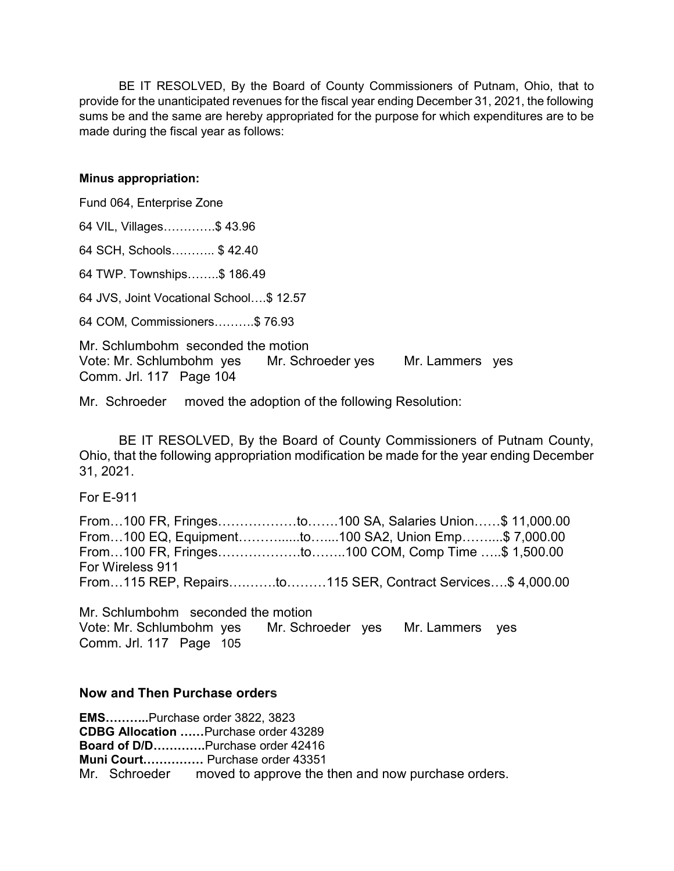BE IT RESOLVED, By the Board of County Commissioners of Putnam, Ohio, that to provide for the unanticipated revenues for the fiscal year ending December 31, 2021, the following sums be and the same are hereby appropriated for the purpose for which expenditures are to be made during the fiscal year as follows:

## Minus appropriation:

Fund 064, Enterprise Zone

64 VIL, Villages………….\$ 43.96

64 SCH, Schools……….. \$ 42.40

64 TWP. Townships……..\$ 186.49

64 JVS, Joint Vocational School….\$ 12.57

64 COM, Commissioners……….\$ 76.93

Mr. Schlumbohm seconded the motion Vote: Mr. Schlumbohm yes Mr. Schroeder yes Mr. Lammers yes Comm. Jrl. 117 Page 104

Mr. Schroeder moved the adoption of the following Resolution:

 BE IT RESOLVED, By the Board of County Commissioners of Putnam County, Ohio, that the following appropriation modification be made for the year ending December 31, 2021.

For E-911

From…100 FR, Fringes………………to…….100 SA, Salaries Union……\$ 11,000.00 From…100 EQ, Equipment………......to…....100 SA2, Union Emp……....\$ 7,000.00 From…100 FR, Fringes……………….to……..100 COM, Comp Time …..\$ 1,500.00 For Wireless 911 From…115 REP, Repairs….…….to………115 SER, Contract Services….\$ 4,000.00

Mr. Schlumbohm seconded the motion Vote: Mr. Schlumbohm yes Mr. Schroeder yes Mr. Lammers yes Comm. Jrl. 117 Page 105

## Now and Then Purchase orders

EMS………..Purchase order 3822, 3823 CDBG Allocation ……Purchase order 43289 Board of D/D………….Purchase order 42416 Muni Court…………… Purchase order 43351 Mr. Schroeder moved to approve the then and now purchase orders.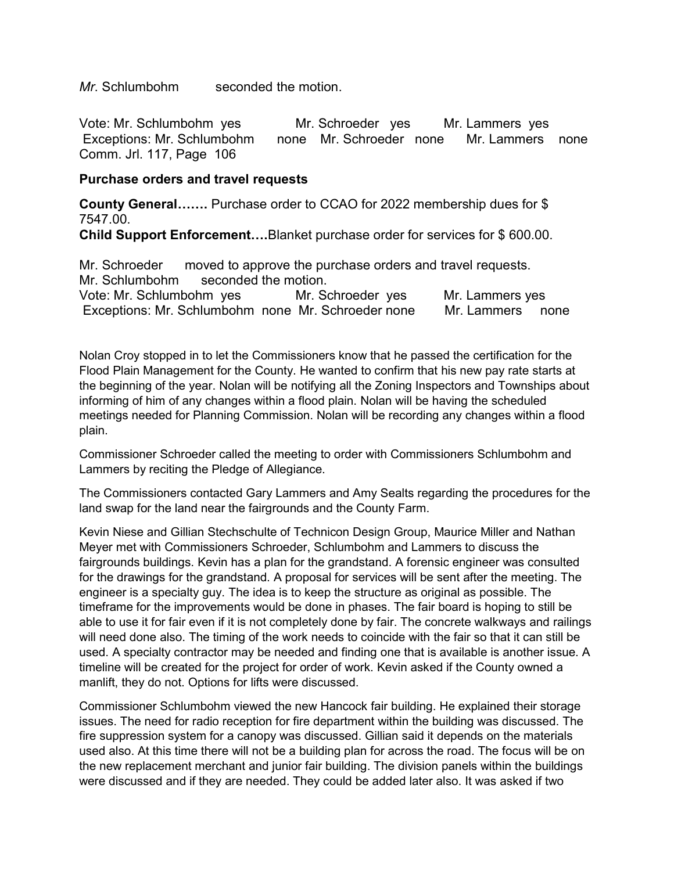Mr. Schlumbohm seconded the motion.

Vote: Mr. Schlumbohm yes Mr. Schroeder yes Mr. Lammers yes Exceptions: Mr. Schlumbohm none Mr. Schroeder none Mr. Lammers none Comm. Jrl. 117, Page 106

## Purchase orders and travel requests

County General……. Purchase order to CCAO for 2022 membership dues for \$ 7547.00. Child Support Enforcement….Blanket purchase order for services for \$ 600.00.

Mr. Schroeder moved to approve the purchase orders and travel requests. Mr. Schlumbohm seconded the motion. Vote: Mr. Schlumbohm yes Mr. Schroeder yes Mr. Lammers yes Exceptions: Mr. Schlumbohm none Mr. Schroeder none Mr. Lammers none

Nolan Croy stopped in to let the Commissioners know that he passed the certification for the Flood Plain Management for the County. He wanted to confirm that his new pay rate starts at the beginning of the year. Nolan will be notifying all the Zoning Inspectors and Townships about informing of him of any changes within a flood plain. Nolan will be having the scheduled meetings needed for Planning Commission. Nolan will be recording any changes within a flood plain.

Commissioner Schroeder called the meeting to order with Commissioners Schlumbohm and Lammers by reciting the Pledge of Allegiance.

The Commissioners contacted Gary Lammers and Amy Sealts regarding the procedures for the land swap for the land near the fairgrounds and the County Farm.

Kevin Niese and Gillian Stechschulte of Technicon Design Group, Maurice Miller and Nathan Meyer met with Commissioners Schroeder, Schlumbohm and Lammers to discuss the fairgrounds buildings. Kevin has a plan for the grandstand. A forensic engineer was consulted for the drawings for the grandstand. A proposal for services will be sent after the meeting. The engineer is a specialty guy. The idea is to keep the structure as original as possible. The timeframe for the improvements would be done in phases. The fair board is hoping to still be able to use it for fair even if it is not completely done by fair. The concrete walkways and railings will need done also. The timing of the work needs to coincide with the fair so that it can still be used. A specialty contractor may be needed and finding one that is available is another issue. A timeline will be created for the project for order of work. Kevin asked if the County owned a manlift, they do not. Options for lifts were discussed.

Commissioner Schlumbohm viewed the new Hancock fair building. He explained their storage issues. The need for radio reception for fire department within the building was discussed. The fire suppression system for a canopy was discussed. Gillian said it depends on the materials used also. At this time there will not be a building plan for across the road. The focus will be on the new replacement merchant and junior fair building. The division panels within the buildings were discussed and if they are needed. They could be added later also. It was asked if two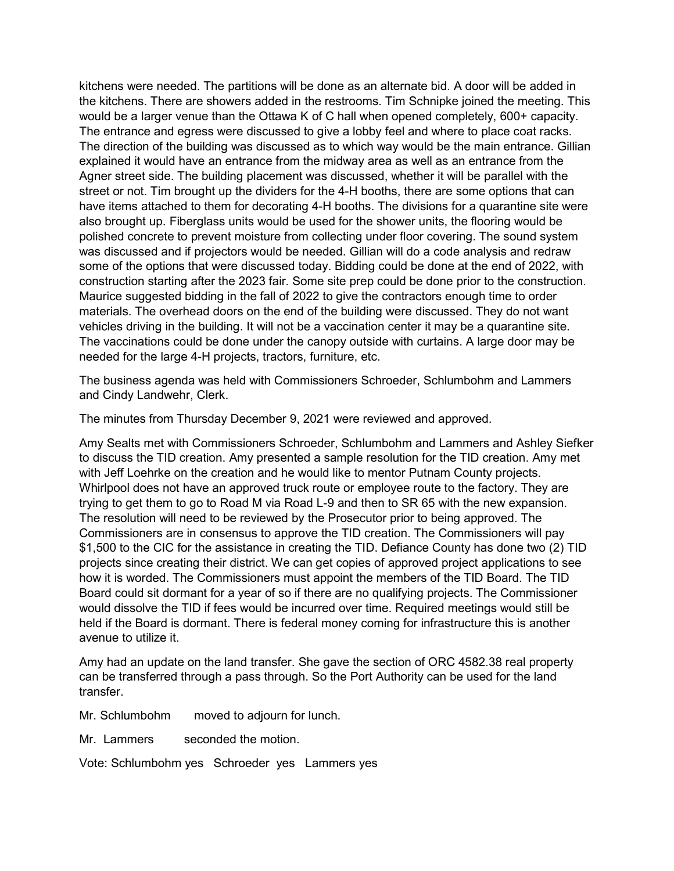kitchens were needed. The partitions will be done as an alternate bid. A door will be added in the kitchens. There are showers added in the restrooms. Tim Schnipke joined the meeting. This would be a larger venue than the Ottawa K of C hall when opened completely, 600+ capacity. The entrance and egress were discussed to give a lobby feel and where to place coat racks. The direction of the building was discussed as to which way would be the main entrance. Gillian explained it would have an entrance from the midway area as well as an entrance from the Agner street side. The building placement was discussed, whether it will be parallel with the street or not. Tim brought up the dividers for the 4-H booths, there are some options that can have items attached to them for decorating 4-H booths. The divisions for a quarantine site were also brought up. Fiberglass units would be used for the shower units, the flooring would be polished concrete to prevent moisture from collecting under floor covering. The sound system was discussed and if projectors would be needed. Gillian will do a code analysis and redraw some of the options that were discussed today. Bidding could be done at the end of 2022, with construction starting after the 2023 fair. Some site prep could be done prior to the construction. Maurice suggested bidding in the fall of 2022 to give the contractors enough time to order materials. The overhead doors on the end of the building were discussed. They do not want vehicles driving in the building. It will not be a vaccination center it may be a quarantine site. The vaccinations could be done under the canopy outside with curtains. A large door may be needed for the large 4-H projects, tractors, furniture, etc.

The business agenda was held with Commissioners Schroeder, Schlumbohm and Lammers and Cindy Landwehr, Clerk.

The minutes from Thursday December 9, 2021 were reviewed and approved.

Amy Sealts met with Commissioners Schroeder, Schlumbohm and Lammers and Ashley Siefker to discuss the TID creation. Amy presented a sample resolution for the TID creation. Amy met with Jeff Loehrke on the creation and he would like to mentor Putnam County projects. Whirlpool does not have an approved truck route or employee route to the factory. They are trying to get them to go to Road M via Road L-9 and then to SR 65 with the new expansion. The resolution will need to be reviewed by the Prosecutor prior to being approved. The Commissioners are in consensus to approve the TID creation. The Commissioners will pay \$1,500 to the CIC for the assistance in creating the TID. Defiance County has done two (2) TID projects since creating their district. We can get copies of approved project applications to see how it is worded. The Commissioners must appoint the members of the TID Board. The TID Board could sit dormant for a year of so if there are no qualifying projects. The Commissioner would dissolve the TID if fees would be incurred over time. Required meetings would still be held if the Board is dormant. There is federal money coming for infrastructure this is another avenue to utilize it.

Amy had an update on the land transfer. She gave the section of ORC 4582.38 real property can be transferred through a pass through. So the Port Authority can be used for the land transfer.

Mr. Schlumbohm moved to adjourn for lunch.

Mr. Lammers seconded the motion.

Vote: Schlumbohm yes Schroeder yes Lammers yes